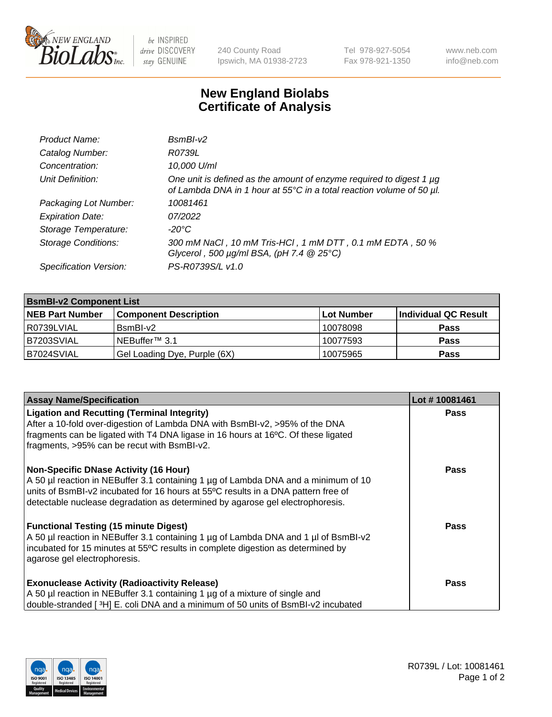

 $be$  INSPIRED drive DISCOVERY stay GENUINE

240 County Road Ipswich, MA 01938-2723 Tel 978-927-5054 Fax 978-921-1350 www.neb.com info@neb.com

## **New England Biolabs Certificate of Analysis**

| Product Name:              | $BsmBI-v2$                                                                                                                                  |
|----------------------------|---------------------------------------------------------------------------------------------------------------------------------------------|
| Catalog Number:            | R0739L                                                                                                                                      |
| Concentration:             | 10,000 U/ml                                                                                                                                 |
| Unit Definition:           | One unit is defined as the amount of enzyme required to digest 1 µg<br>of Lambda DNA in 1 hour at 55°C in a total reaction volume of 50 µl. |
| Packaging Lot Number:      | 10081461                                                                                                                                    |
| <b>Expiration Date:</b>    | 07/2022                                                                                                                                     |
| Storage Temperature:       | $-20^{\circ}$ C                                                                                                                             |
| <b>Storage Conditions:</b> | 300 mM NaCl, 10 mM Tris-HCl, 1 mM DTT, 0.1 mM EDTA, 50 %<br>Glycerol, 500 $\mu$ g/ml BSA, (pH 7.4 $@25°C$ )                                 |
| Specification Version:     | PS-R0739S/L v1.0                                                                                                                            |

| <b>BsmBI-v2 Component List</b> |                              |            |                      |  |  |
|--------------------------------|------------------------------|------------|----------------------|--|--|
| <b>NEB Part Number</b>         | <b>Component Description</b> | Lot Number | Individual QC Result |  |  |
| l R0739LVIAL                   | $BsmBl-v2$                   | 10078098   | <b>Pass</b>          |  |  |
| B7203SVIAL                     | INEBuffer™ 3.1               | 10077593   | <b>Pass</b>          |  |  |
| B7024SVIAL                     | Gel Loading Dye, Purple (6X) | 10075965   | <b>Pass</b>          |  |  |

| <b>Assay Name/Specification</b>                                                                                                                                                                                                                                                                          | Lot #10081461 |
|----------------------------------------------------------------------------------------------------------------------------------------------------------------------------------------------------------------------------------------------------------------------------------------------------------|---------------|
| <b>Ligation and Recutting (Terminal Integrity)</b><br>After a 10-fold over-digestion of Lambda DNA with BsmBI-v2, >95% of the DNA<br>fragments can be ligated with T4 DNA ligase in 16 hours at 16°C. Of these ligated<br>fragments, >95% can be recut with BsmBI-v2.                                    | <b>Pass</b>   |
| <b>Non-Specific DNase Activity (16 Hour)</b><br>A 50 µl reaction in NEBuffer 3.1 containing 1 µg of Lambda DNA and a minimum of 10<br>units of BsmBI-v2 incubated for 16 hours at 55°C results in a DNA pattern free of<br>detectable nuclease degradation as determined by agarose gel electrophoresis. | <b>Pass</b>   |
| <b>Functional Testing (15 minute Digest)</b><br>A 50 µl reaction in NEBuffer 3.1 containing 1 µg of Lambda DNA and 1 µl of BsmBI-v2<br>incubated for 15 minutes at 55°C results in complete digestion as determined by<br>agarose gel electrophoresis.                                                   | Pass          |
| <b>Exonuclease Activity (Radioactivity Release)</b><br>A 50 µl reaction in NEBuffer 3.1 containing 1 µg of a mixture of single and<br>double-stranded [3H] E. coli DNA and a minimum of 50 units of BsmBI-v2 incubated                                                                                   | <b>Pass</b>   |